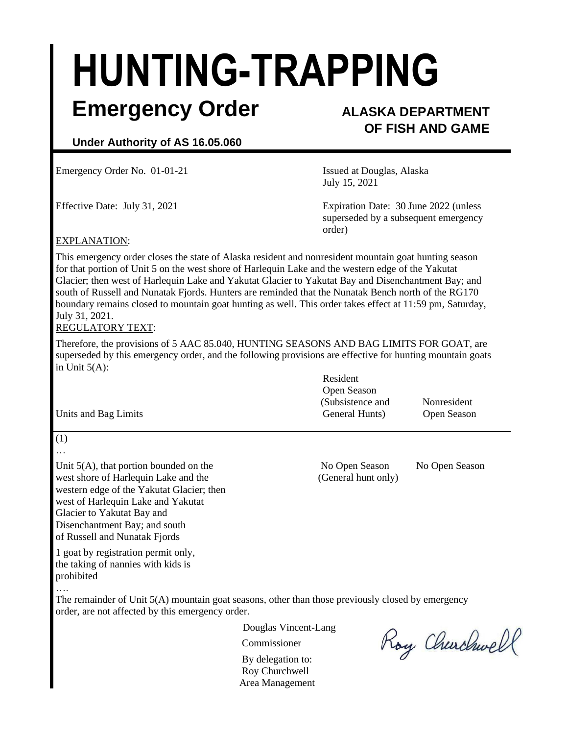# **HUNTING-TRAPPING**

### **Emergency Order ALASKA DEPARTMENT**

## **OF FISH AND GAME**

#### **Under Authority of AS 16.05.060**

Emergency Order No. 01-01-21 **ISSUE 18** Issued at Douglas, Alaska

July 15, 2021

Effective Date: July 31, 2021 Expiration Date: 30 June 2022 (unless superseded by a subsequent emergency order)

#### EXPLANATION:

This emergency order closes the state of Alaska resident and nonresident mountain goat hunting season for that portion of Unit 5 on the west shore of Harlequin Lake and the western edge of the Yakutat Glacier; then west of Harlequin Lake and Yakutat Glacier to Yakutat Bay and Disenchantment Bay; and south of Russell and Nunatak Fjords. Hunters are reminded that the Nunatak Bench north of the RG170 boundary remains closed to mountain goat hunting as well. This order takes effect at 11:59 pm, Saturday, July 31, 2021.

#### REGULATORY TEXT:

Therefore, the provisions of 5 AAC 85.040, HUNTING SEASONS AND BAG LIMITS FOR GOAT, are superseded by this emergency order, and the following provisions are effective for hunting mountain goats in Unit  $5(A)$ :

| Resident         |                    |
|------------------|--------------------|
| Open Season      |                    |
| (Subsistence and | Nonresident        |
| General Hunts)   | <b>Open Season</b> |
|                  |                    |

Unit 5(A), that portion bounded on the No Open Season No Open Season No Open Season west shore of Harlequin Lake and the (General hunt only) western edge of the Yakutat Glacier; then west of Harlequin Lake and Yakutat Glacier to Yakutat Bay and Disenchantment Bay; and south of Russell and Nunatak Fjords

1 goat by registration permit only, the taking of nannies with kids is prohibited

….

(1) …

The remainder of Unit 5(A) mountain goat seasons, other than those previously closed by emergency order, are not affected by this emergency order.

Douglas Vincent-Lang

Commissioner

By delegation to: Roy Churchwell Area Management

Roy Churchwell